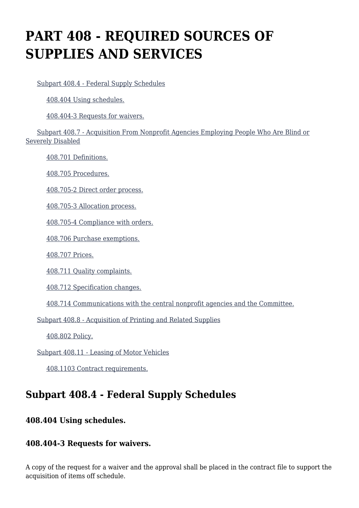# **PART 408 - REQUIRED SOURCES OF SUPPLIES AND SERVICES**

[Subpart 408.4 - Federal Supply Schedules](https://origin-www.acquisition.gov/%5Brp:link:agar-part-408%5D#Subpart_408_4_T48_4021291)

[408.404 Using schedules.](https://origin-www.acquisition.gov/%5Brp:link:agar-part-408%5D#Section_408_404_T48_402129111)

[408.404-3 Requests for waivers.](https://origin-www.acquisition.gov/%5Brp:link:agar-part-408%5D#Section_408_404_3_T48_402129112)

 [Subpart 408.7 - Acquisition From Nonprofit Agencies Employing People Who Are Blind or](https://origin-www.acquisition.gov/%5Brp:link:agar-part-408%5D#Subpart_408_7_T48_4021292) [Severely Disabled](https://origin-www.acquisition.gov/%5Brp:link:agar-part-408%5D#Subpart_408_7_T48_4021292)

[408.701 Definitions.](https://origin-www.acquisition.gov/%5Brp:link:agar-part-408%5D#Section_408_701_T48_402129211)

[408.705 Procedures.](https://origin-www.acquisition.gov/%5Brp:link:agar-part-408%5D#Section_408_705_T48_402129212)

[408.705-2 Direct order process.](https://origin-www.acquisition.gov/%5Brp:link:agar-part-408%5D#Section_408_705_2_T48_402129213)

[408.705-3 Allocation process.](https://origin-www.acquisition.gov/%5Brp:link:agar-part-408%5D#Section_408_705_3_T48_402129214)

[408.705-4 Compliance with orders.](https://origin-www.acquisition.gov/%5Brp:link:agar-part-408%5D#Section_408_705_4_T48_402129215)

[408.706 Purchase exemptions.](https://origin-www.acquisition.gov/%5Brp:link:agar-part-408%5D#Section_408_706_T48_402129216)

[408.707 Prices.](https://origin-www.acquisition.gov/%5Brp:link:agar-part-408%5D#Section_408_707_T48_402129217)

[408.711 Quality complaints.](https://origin-www.acquisition.gov/%5Brp:link:agar-part-408%5D#Section_408_711_T48_402129218)

[408.712 Specification changes.](https://origin-www.acquisition.gov/%5Brp:link:agar-part-408%5D#Section_408_712_T48_402129219)

[408.714 Communications with the central nonprofit agencies and the Committee.](https://origin-www.acquisition.gov/%5Brp:link:agar-part-408%5D#Section_408_714_T48_4021292110)

[Subpart 408.8 - Acquisition of Printing and Related Supplies](https://origin-www.acquisition.gov/%5Brp:link:agar-part-408%5D#Subpart_408_8_T48_4021293)

[408.802 Policy.](https://origin-www.acquisition.gov/%5Brp:link:agar-part-408%5D#Section_408_802_T48_402129311)

[Subpart 408.11 - Leasing of Motor Vehicles](https://origin-www.acquisition.gov/%5Brp:link:agar-part-408%5D#Subpart_408_11_T48_4021294)

[408.1103 Contract requirements.](https://origin-www.acquisition.gov/%5Brp:link:agar-part-408%5D#Section_408_1103_T48_402129411)

# **Subpart 408.4 - Federal Supply Schedules**

# **408.404 Using schedules.**

# **408.404-3 Requests for waivers.**

A copy of the request for a waiver and the approval shall be placed in the contract file to support the acquisition of items off schedule.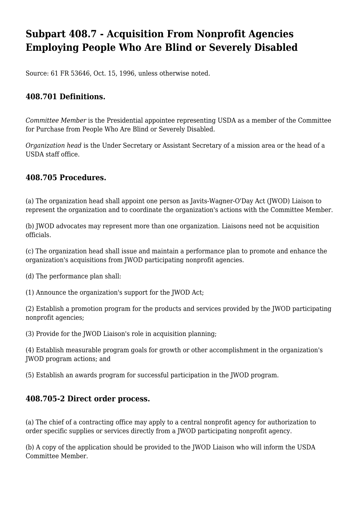# **Subpart 408.7 - Acquisition From Nonprofit Agencies Employing People Who Are Blind or Severely Disabled**

Source: 61 FR 53646, Oct. 15, 1996, unless otherwise noted.

### **408.701 Definitions.**

*Committee Member* is the Presidential appointee representing USDA as a member of the Committee for Purchase from People Who Are Blind or Severely Disabled.

*Organization head* is the Under Secretary or Assistant Secretary of a mission area or the head of a USDA staff office.

#### **408.705 Procedures.**

(a) The organization head shall appoint one person as Javits-Wagner-O'Day Act (JWOD) Liaison to represent the organization and to coordinate the organization's actions with the Committee Member.

(b) JWOD advocates may represent more than one organization. Liaisons need not be acquisition officials.

(c) The organization head shall issue and maintain a performance plan to promote and enhance the organization's acquisitions from JWOD participating nonprofit agencies.

(d) The performance plan shall:

(1) Announce the organization's support for the JWOD Act;

(2) Establish a promotion program for the products and services provided by the JWOD participating nonprofit agencies;

(3) Provide for the JWOD Liaison's role in acquisition planning;

(4) Establish measurable program goals for growth or other accomplishment in the organization's JWOD program actions; and

(5) Establish an awards program for successful participation in the JWOD program.

#### **408.705-2 Direct order process.**

(a) The chief of a contracting office may apply to a central nonprofit agency for authorization to order specific supplies or services directly from a JWOD participating nonprofit agency.

(b) A copy of the application should be provided to the JWOD Liaison who will inform the USDA Committee Member.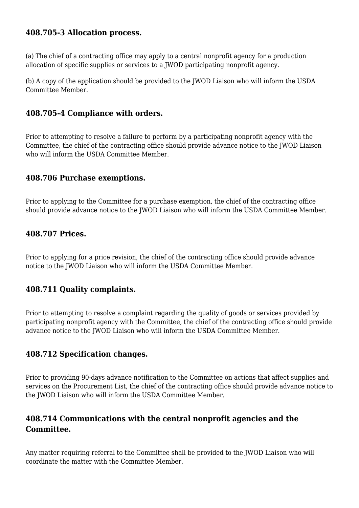#### **408.705-3 Allocation process.**

(a) The chief of a contracting office may apply to a central nonprofit agency for a production allocation of specific supplies or services to a JWOD participating nonprofit agency.

(b) A copy of the application should be provided to the JWOD Liaison who will inform the USDA Committee Member.

#### **408.705-4 Compliance with orders.**

Prior to attempting to resolve a failure to perform by a participating nonprofit agency with the Committee, the chief of the contracting office should provide advance notice to the JWOD Liaison who will inform the USDA Committee Member.

#### **408.706 Purchase exemptions.**

Prior to applying to the Committee for a purchase exemption, the chief of the contracting office should provide advance notice to the JWOD Liaison who will inform the USDA Committee Member.

#### **408.707 Prices.**

Prior to applying for a price revision, the chief of the contracting office should provide advance notice to the JWOD Liaison who will inform the USDA Committee Member.

### **408.711 Quality complaints.**

Prior to attempting to resolve a complaint regarding the quality of goods or services provided by participating nonprofit agency with the Committee, the chief of the contracting office should provide advance notice to the JWOD Liaison who will inform the USDA Committee Member.

### **408.712 Specification changes.**

Prior to providing 90-days advance notification to the Committee on actions that affect supplies and services on the Procurement List, the chief of the contracting office should provide advance notice to the JWOD Liaison who will inform the USDA Committee Member.

### **408.714 Communications with the central nonprofit agencies and the Committee.**

Any matter requiring referral to the Committee shall be provided to the JWOD Liaison who will coordinate the matter with the Committee Member.